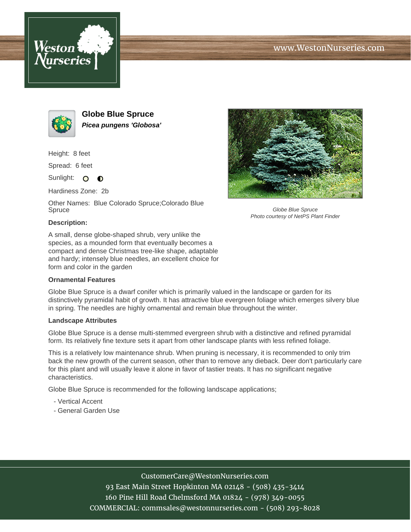





**Globe Blue Spruce Picea pungens 'Globosa'**

Height: 8 feet

Spread: 6 feet

Sunlight: O  $\bullet$ 

Hardiness Zone: 2b

Other Names: Blue Colorado Spruce;Colorado Blue Spruce



Globe Blue Spruce Photo courtesy of NetPS Plant Finder

## **Description:**

A small, dense globe-shaped shrub, very unlike the species, as a mounded form that eventually becomes a compact and dense Christmas tree-like shape, adaptable and hardy; intensely blue needles, an excellent choice for form and color in the garden

### **Ornamental Features**

Globe Blue Spruce is a dwarf conifer which is primarily valued in the landscape or garden for its distinctively pyramidal habit of growth. It has attractive blue evergreen foliage which emerges silvery blue in spring. The needles are highly ornamental and remain blue throughout the winter.

#### **Landscape Attributes**

Globe Blue Spruce is a dense multi-stemmed evergreen shrub with a distinctive and refined pyramidal form. Its relatively fine texture sets it apart from other landscape plants with less refined foliage.

This is a relatively low maintenance shrub. When pruning is necessary, it is recommended to only trim back the new growth of the current season, other than to remove any dieback. Deer don't particularly care for this plant and will usually leave it alone in favor of tastier treats. It has no significant negative characteristics.

Globe Blue Spruce is recommended for the following landscape applications;

- Vertical Accent
- General Garden Use

## CustomerCare@WestonNurseries.com

93 East Main Street Hopkinton MA 02148 - (508) 435-3414 160 Pine Hill Road Chelmsford MA 01824 - (978) 349-0055 COMMERCIAL: commsales@westonnurseries.com - (508) 293-8028